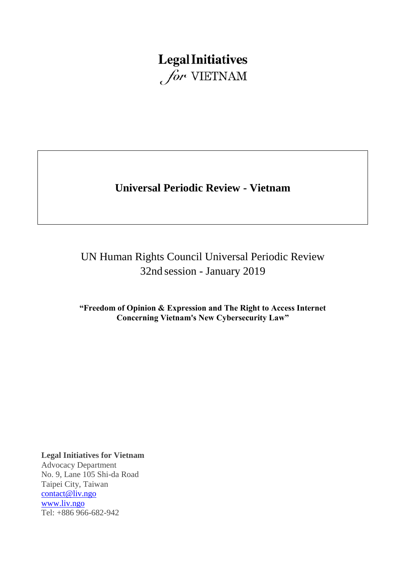# **Legal Initiatives** for VIETNAM

# **Universal Periodic Review - Vietnam**

# UN Human Rights Council Universal Periodic Review 32nd session - January 2019

**"Freedom of Opinion & Expression and The Right to Access Internet Concerning Vietnam's New Cybersecurity Law"**

**Legal Initiatives for Vietnam**

Advocacy Department No. 9, Lane 105 Shi-da Road Taipei City, Taiwan [contact@liv.ngo](mailto:contact@liv.ngo) [www.liv.ngo](http://www.liv.ngo/) Tel: +886 966-682-942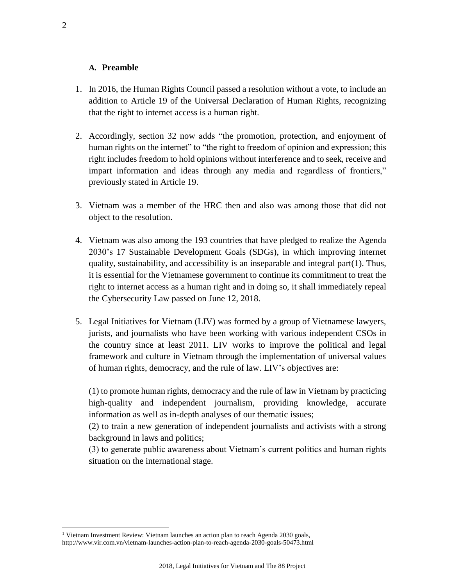#### **A. Preamble**

- 1. In 2016, the Human Rights Council passed a resolution without a vote, to include an addition to Article 19 of the Universal Declaration of Human Rights, recognizing that the right to internet access is a human right.
- 2. Accordingly, section 32 now adds "the promotion, protection, and enjoyment of human rights on the internet" to "the right to freedom of opinion and expression; this right includes freedom to hold opinions without interference and to seek, receive and impart information and ideas through any media and regardless of frontiers," previously stated in Article 19.
- 3. Vietnam was a member of the HRC then and also was among those that did not object to the resolution.
- 4. Vietnam was also among the 193 countries that have pledged to realize the Agenda 2030's 17 Sustainable Development Goals (SDGs), in which improving internet quality, sustainability, and accessibility is an inseparable and integral part(1). Thus, it is essential for the Vietnamese government to continue its commitment to treat the right to internet access as a human right and in doing so, it shall immediately repeal the Cybersecurity Law passed on June 12, 2018.
- 5. Legal Initiatives for Vietnam (LIV) was formed by a group of Vietnamese lawyers, jurists, and journalists who have been working with various independent CSOs in the country since at least 2011. LIV works to improve the political and legal framework and culture in Vietnam through the implementation of universal values of human rights, democracy, and the rule of law. LIV's objectives are:

(1) to promote human rights, democracy and the rule of law in Vietnam by practicing high-quality and independent journalism, providing knowledge, accurate information as well as in-depth analyses of our thematic issues;

(2) to train a new generation of independent journalists and activists with a strong background in laws and politics;

(3) to generate public awareness about Vietnam's current politics and human rights situation on the international stage.

<sup>&</sup>lt;sup>1</sup> Vietnam Investment Review: Vietnam launches an action plan to reach Agenda 2030 goals, http://www.vir.com.vn/vietnam-launches-action-plan-to-reach-agenda-2030-goals-50473.html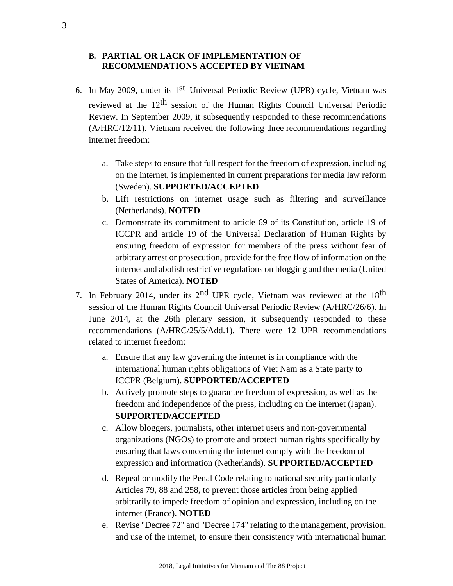### **B. PARTIAL OR LACK OF IMPLEMENTATION OF RECOMMENDATIONS ACCEPTED BY VIETNAM**

- 6. In May 2009, under its 1<sup>st</sup> Universal Periodic Review (UPR) cycle, Vietnam was reviewed at the 12th session of the Human Rights Council Universal Periodic Review. In September 2009, it subsequently responded to these recommendations (A/HRC/12/11). Vietnam received the following three recommendations regarding internet freedom:
	- a. Take steps to ensure that full respect for the freedom of expression, including on the internet, is implemented in current preparations for media law reform (Sweden). **SUPPORTED/ACCEPTED**
	- b. Lift restrictions on internet usage such as filtering and surveillance (Netherlands). **NOTED**
	- c. Demonstrate its commitment to article 69 of its Constitution, article 19 of ICCPR and article 19 of the Universal Declaration of Human Rights by ensuring freedom of expression for members of the press without fear of arbitrary arrest or prosecution, provide for the free flow of information on the internet and abolish restrictive regulations on blogging and the media (United States of America). **NOTED**
- 7. In February 2014, under its  $2^{nd}$  UPR cycle, Vietnam was reviewed at the 18<sup>th</sup> session of the Human Rights Council Universal Periodic Review (A/HRC/26/6). In June 2014, at the 26th plenary session, it subsequently responded to these recommendations (A/HRC/25/5/Add.1). There were 12 UPR recommendations related to internet freedom:
	- a. Ensure that any law governing the internet is in compliance with the international human rights obligations of Viet Nam as a State party to ICCPR (Belgium). **SUPPORTED/ACCEPTED**
	- b. Actively promote steps to guarantee freedom of expression, as well as the freedom and independence of the press, including on the internet (Japan). **SUPPORTED/ACCEPTED**
	- c. Allow bloggers, journalists, other internet users and non-governmental organizations (NGOs) to promote and protect human rights specifically by ensuring that laws concerning the internet comply with the freedom of expression and information (Netherlands). **SUPPORTED/ACCEPTED**
	- d. Repeal or modify the Penal Code relating to national security particularly Articles 79, 88 and 258, to prevent those articles from being applied arbitrarily to impede freedom of opinion and expression, including on the internet (France). **NOTED**
	- e. Revise "Decree 72" and "Decree 174" relating to the management, provision, and use of the internet, to ensure their consistency with international human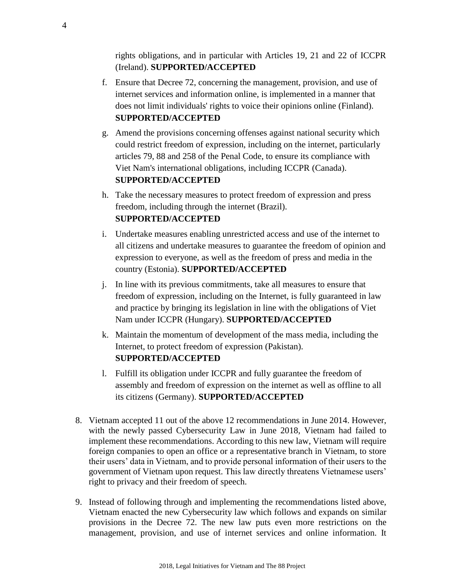rights obligations, and in particular with Articles 19, 21 and 22 of ICCPR (Ireland). **SUPPORTED/ACCEPTED**

- f. Ensure that Decree 72, concerning the management, provision, and use of internet services and information online, is implemented in a manner that does not limit individuals' rights to voice their opinions online (Finland). **SUPPORTED/ACCEPTED**
- g. Amend the provisions concerning offenses against national security which could restrict freedom of expression, including on the internet, particularly articles 79, 88 and 258 of the Penal Code, to ensure its compliance with Viet Nam's international obligations, including ICCPR (Canada). **SUPPORTED/ACCEPTED**
- h. Take the necessary measures to protect freedom of expression and press freedom, including through the internet (Brazil). **SUPPORTED/ACCEPTED**
- i. Undertake measures enabling unrestricted access and use of the internet to all citizens and undertake measures to guarantee the freedom of opinion and expression to everyone, as well as the freedom of press and media in the country (Estonia). **SUPPORTED/ACCEPTED**
- j. In line with its previous commitments, take all measures to ensure that freedom of expression, including on the Internet, is fully guaranteed in law and practice by bringing its legislation in line with the obligations of Viet Nam under ICCPR (Hungary). **SUPPORTED/ACCEPTED**
- k. Maintain the momentum of development of the mass media, including the Internet, to protect freedom of expression (Pakistan). **SUPPORTED/ACCEPTED**
- l. Fulfill its obligation under ICCPR and fully guarantee the freedom of assembly and freedom of expression on the internet as well as offline to all its citizens (Germany). **SUPPORTED/ACCEPTED**
- 8. Vietnam accepted 11 out of the above 12 recommendations in June 2014. However, with the newly passed Cybersecurity Law in June 2018, Vietnam had failed to implement these recommendations. According to this new law, Vietnam will require foreign companies to open an office or a representative branch in Vietnam, to store their users' data in Vietnam, and to provide personal information of their users to the government of Vietnam upon request. This law directly threatens Vietnamese users' right to privacy and their freedom of speech.
- 9. Instead of following through and implementing the recommendations listed above, Vietnam enacted the new Cybersecurity law which follows and expands on similar provisions in the Decree 72. The new law puts even more restrictions on the management, provision, and use of internet services and online information. It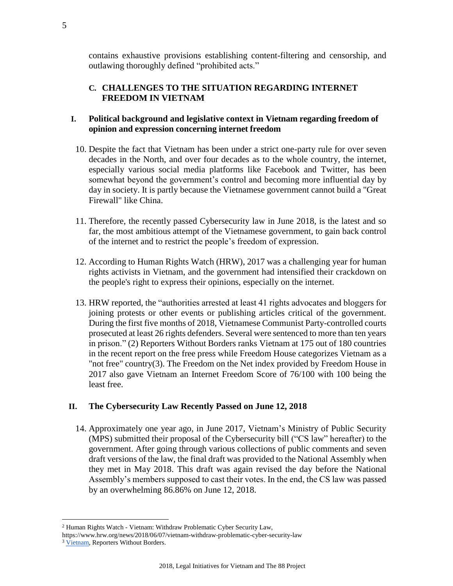contains exhaustive provisions establishing content-filtering and censorship, and outlawing thoroughly defined "prohibited acts."

# **C. CHALLENGES TO THE SITUATION REGARDING INTERNET FREEDOM IN VIETNAM**

# **I. Political background and legislative context in Vietnam regarding freedom of opinion and expression concerning internet freedom**

- 10. Despite the fact that Vietnam has been under a strict one-party rule for over seven decades in the North, and over four decades as to the whole country, the internet, especially various social media platforms like Facebook and Twitter, has been somewhat beyond the government's control and becoming more influential day by day in society. It is partly because the Vietnamese government cannot build a "Great Firewall" like China.
- 11. Therefore, the recently passed Cybersecurity law in June 2018, is the latest and so far, the most ambitious attempt of the Vietnamese government, to gain back control of the internet and to restrict the people's freedom of expression.
- 12. According to Human Rights Watch (HRW), 2017 was a challenging year for human rights activists in Vietnam, and the government had intensified their crackdown on the people's right to express their opinions, especially on the internet.
- 13. HRW reported, the "authorities arrested at least 41 rights advocates and bloggers for joining protests or other events or publishing articles critical of the government. During the first five months of 2018, Vietnamese Communist Party-controlled courts prosecuted at least 26 rights defenders. Several were sentenced to more than ten years in prison." (2) Reporters Without Borders ranks Vietnam at 175 out of 180 countries in the recent report on the free press while Freedom House categorizes Vietnam as a "not free" country(3). The Freedom on the Net index provided by Freedom House in 2017 also gave Vietnam an Internet Freedom Score of 76/100 with 100 being the least free.

### **II. The Cybersecurity Law Recently Passed on June 12, 2018**

14. Approximately one year ago, in June 2017, Vietnam's Ministry of Public Security (MPS) submitted their proposal of the Cybersecurity bill ("CS law" hereafter) to the government. After going through various collections of public comments and seven draft versions of the law, the final draft was provided to the National Assembly when they met in May 2018. This draft was again revised the day before the National Assembly's members supposed to cast their votes. In the end, the CS law was passed by an overwhelming 86.86% on June 12, 2018.

<sup>2</sup> Human Rights Watch - Vietnam: Withdraw Problematic Cyber Security Law,

https://www.hrw.org/news/2018/06/07/vietnam-withdraw-problematic-cyber-security-law

<sup>&</sup>lt;sup>3</sup> [Vietnam,](https://rsf.org/en/vietnam) Reporters Without Borders.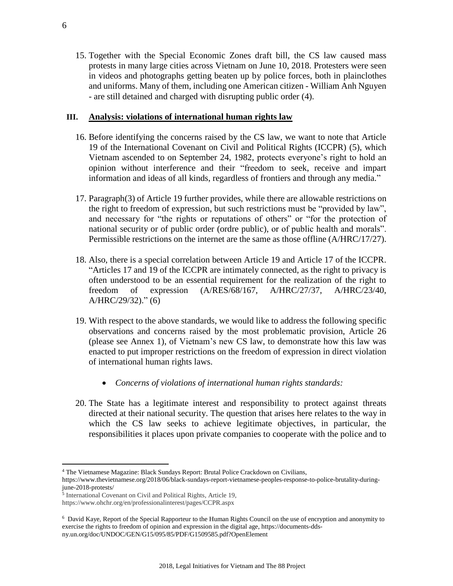15. Together with the Special Economic Zones draft bill, the CS law caused mass protests in many large cities across Vietnam on June 10, 2018. Protesters were seen in videos and photographs getting beaten up by police forces, both in plainclothes and uniforms. Many of them, including one American citizen - William Anh Nguyen - are still detained and charged with disrupting public order (4).

### **III. Analysis: violations of international human rights law**

- 16. Before identifying the concerns raised by the CS law, we want to note that Article 19 of the International Covenant on Civil and Political Rights (ICCPR) (5), which Vietnam ascended to on September 24, 1982, protects everyone's right to hold an opinion without interference and their "freedom to seek, receive and impart information and ideas of all kinds, regardless of frontiers and through any media."
- 17. Paragraph(3) of Article 19 further provides, while there are allowable restrictions on the right to freedom of expression, but such restrictions must be "provided by law", and necessary for "the rights or reputations of others" or "for the protection of national security or of public order (ordre public), or of public health and morals". Permissible restrictions on the internet are the same as those offline (A/HRC/17/27).
- 18. Also, there is a special correlation between Article 19 and Article 17 of the ICCPR. "Articles 17 and 19 of the ICCPR are intimately connected, as the right to privacy is often understood to be an essential requirement for the realization of the right to freedom of expression (A/RES/68/167, A/HRC/27/37, A/HRC/23/40, A/HRC/29/32)." (6)
- 19. With respect to the above standards, we would like to address the following specific observations and concerns raised by the most problematic provision, Article 26 (please see Annex 1), of Vietnam's new CS law, to demonstrate how this law was enacted to put improper restrictions on the freedom of expression in direct violation of international human rights laws.
	- *Concerns of violations of international human rights standards:*
- 20. The State has a legitimate interest and responsibility to protect against threats directed at their national security. The question that arises here relates to the way in which the CS law seeks to achieve legitimate objectives, in particular, the responsibilities it places upon private companies to cooperate with the police and to

<sup>4</sup> The Vietnamese Magazine: Black Sundays Report: Brutal Police Crackdown on Civilians,

https://www.thevietnamese.org/2018/06/black-sundays-report-vietnamese-peoples-response-to-police-brutality-duringjune-2018-protests/

<sup>5</sup> International Covenant on Civil and Political Rights, Article 19,

https://www.ohchr.org/en/professionalinterest/pages/CCPR.aspx

<sup>6</sup> David Kaye, Report of the Special Rapporteur to the Human Rights Council on the use of encryption and anonymity to exercise the rights to freedom of opinion and expression in the digital age, https://documents-ddsny.un.org/doc/UNDOC/GEN/G15/095/85/PDF/G1509585.pdf?OpenElement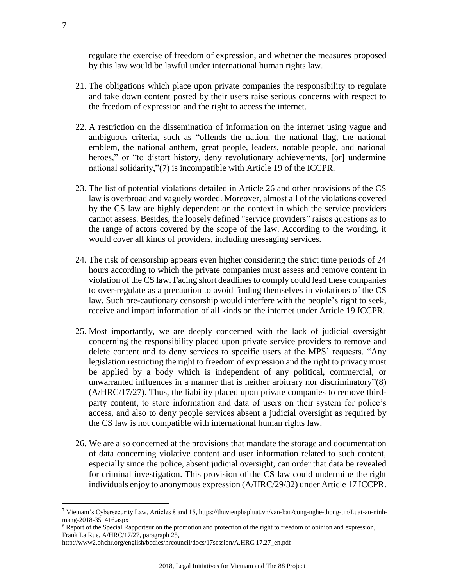regulate the exercise of freedom of expression, and whether the measures proposed by this law would be lawful under international human rights law.

- 21. The obligations which place upon private companies the responsibility to regulate and take down content posted by their users raise serious concerns with respect to the freedom of expression and the right to access the internet.
- 22. A restriction on the dissemination of information on the internet using vague and ambiguous criteria, such as "offends the nation, the national flag, the national emblem, the national anthem, great people, leaders, notable people, and national heroes," or "to distort history, deny revolutionary achievements, [or] undermine national solidarity,"(7) is incompatible with Article 19 of the ICCPR.
- 23. The list of potential violations detailed in Article 26 and other provisions of the CS law is overbroad and vaguely worded. Moreover, almost all of the violations covered by the CS law are highly dependent on the context in which the service providers cannot assess. Besides, the loosely defined "service providers" raises questions as to the range of actors covered by the scope of the law. According to the wording, it would cover all kinds of providers, including messaging services.
- 24. The risk of censorship appears even higher considering the strict time periods of 24 hours according to which the private companies must assess and remove content in violation of the CS law. Facing short deadlines to comply could lead these companies to over-regulate as a precaution to avoid finding themselves in violations of the CS law. Such pre-cautionary censorship would interfere with the people's right to seek, receive and impart information of all kinds on the internet under Article 19 ICCPR.
- 25. Most importantly, we are deeply concerned with the lack of judicial oversight concerning the responsibility placed upon private service providers to remove and delete content and to deny services to specific users at the MPS' requests. "Any legislation restricting the right to freedom of expression and the right to privacy must be applied by a body which is independent of any political, commercial, or unwarranted influences in a manner that is neither arbitrary nor discriminatory"(8) (A/HRC/17/27). Thus, the liability placed upon private companies to remove thirdparty content, to store information and data of users on their system for police's access, and also to deny people services absent a judicial oversight as required by the CS law is not compatible with international human rights law.
- 26. We are also concerned at the provisions that mandate the storage and documentation of data concerning violative content and user information related to such content, especially since the police, absent judicial oversight, can order that data be revealed for criminal investigation. This provision of the CS law could undermine the right individuals enjoy to anonymous expression (A/HRC/29/32) under Article 17 ICCPR.

<sup>7</sup> Vietnam's Cybersecurity Law, Articles 8 and 15, https://thuvienphapluat.vn/van-ban/cong-nghe-thong-tin/Luat-an-ninhmang-2018-351416.aspx

<sup>8</sup> Report of the Special Rapporteur on the promotion and protection of the right to freedom of opinion and expression, Frank La Rue, A/HRC/17/27, paragraph 25,

http://www2.ohchr.org/english/bodies/hrcouncil/docs/17session/A.HRC.17.27\_en.pdf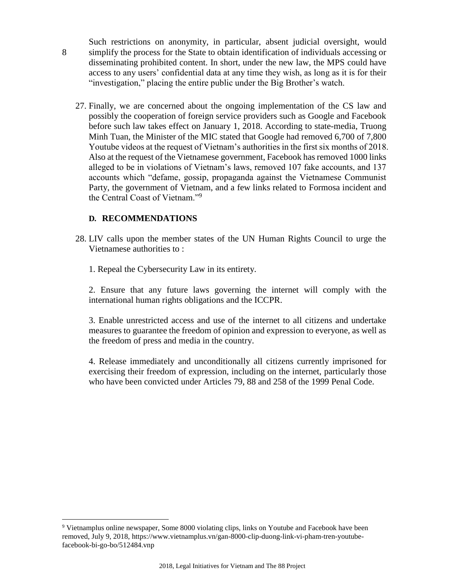- Such restrictions on anonymity, in particular, absent judicial oversight, would simplify the process for the State to obtain identification of individuals accessing or disseminating prohibited content. In short, under the new law, the MPS could have access to any users' confidential data at any time they wish, as long as it is for their "investigation," placing the entire public under the Big Brother's watch.
- 27. Finally, we are concerned about the ongoing implementation of the CS law and possibly the cooperation of foreign service providers such as Google and Facebook before such law takes effect on January 1, 2018. According to state-media, Truong Minh Tuan, the Minister of the MIC stated that Google had removed 6,700 of 7,800 Youtube videos at the request of Vietnam's authorities in the first six months of 2018. Also at the request of the Vietnamese government, Facebook has removed 1000 links alleged to be in violations of Vietnam's laws, removed 107 fake accounts, and 137 accounts which "defame, gossip, propaganda against the Vietnamese Communist Party, the government of Vietnam, and a few links related to Formosa incident and the Central Coast of Vietnam."<sup>9</sup>

#### **D. RECOMMENDATIONS**

8

 $\overline{a}$ 

- 28. LIV calls upon the member states of the UN Human Rights Council to urge the Vietnamese authorities to :
	- 1. Repeal the Cybersecurity Law in its entirety.

2. Ensure that any future laws governing the internet will comply with the international human rights obligations and the ICCPR.

3. Enable unrestricted access and use of the internet to all citizens and undertake measures to guarantee the freedom of opinion and expression to everyone, as well as the freedom of press and media in the country.

4. Release immediately and unconditionally all citizens currently imprisoned for exercising their freedom of expression, including on the internet, particularly those who have been convicted under Articles 79, 88 and 258 of the 1999 Penal Code.

<sup>9</sup> Vietnamplus online newspaper, Some 8000 violating clips, links on Youtube and Facebook have been removed, July 9, 2018, https://www.vietnamplus.vn/gan-8000-clip-duong-link-vi-pham-tren-youtubefacebook-bi-go-bo/512484.vnp